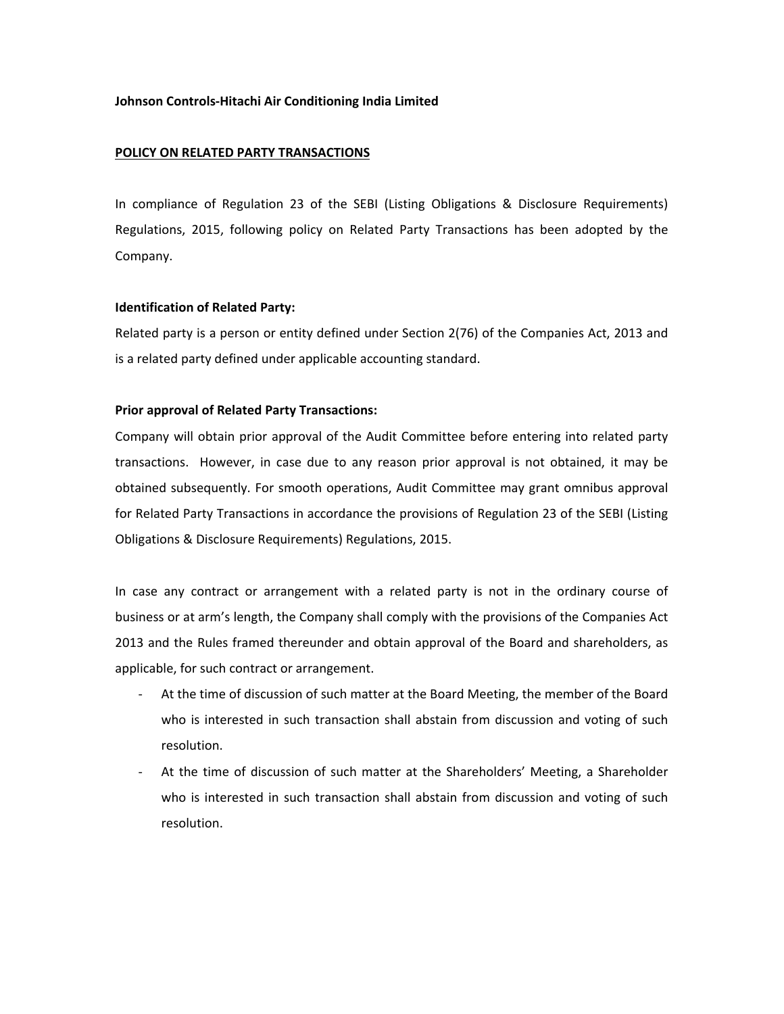# **Johnson Controls‐Hitachi Air Conditioning India Limited**

## **POLICY ON RELATED PARTY TRANSACTIONS**

In compliance of Regulation 23 of the SEBI (Listing Obligations & Disclosure Requirements) Regulations, 2015, following policy on Related Party Transactions has been adopted by the Company.

## **Identification of Related Party:**

Related party is a person or entity defined under Section 2(76) of the Companies Act, 2013 and is a related party defined under applicable accounting standard.

# **Prior approval of Related Party Transactions:**

Company will obtain prior approval of the Audit Committee before entering into related party transactions. However, in case due to any reason prior approval is not obtained, it may be obtained subsequently. For smooth operations, Audit Committee may grant omnibus approval for Related Party Transactions in accordance the provisions of Regulation 23 of the SEBI (Listing Obligations & Disclosure Requirements) Regulations, 2015.

In case any contract or arrangement with a related party is not in the ordinary course of business or at arm's length, the Company shall comply with the provisions of the Companies Act 2013 and the Rules framed thereunder and obtain approval of the Board and shareholders, as applicable, for such contract or arrangement.

- ‐ At the time of discussion of such matter at the Board Meeting, the member of the Board who is interested in such transaction shall abstain from discussion and voting of such resolution.
- ‐ At the time of discussion of such matter at the Shareholders' Meeting, a Shareholder who is interested in such transaction shall abstain from discussion and voting of such resolution.